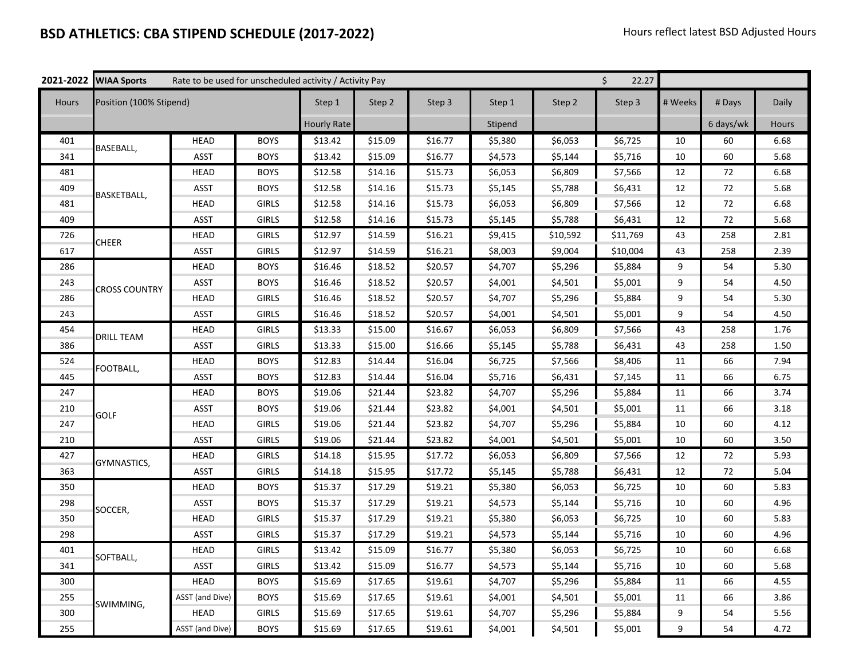## **BSD ATHLETICS: CBA STIPEND SCHEDULE (2017-2022)** Hours reflect latest BSD Adjusted Hours **Hours** reflect latest BSD Adjusted Hours

|              | 2021-2022 WIAA Sports   | \$<br>Rate to be used for unscheduled activity / Activity Pay<br>22.27 |              |                    |         |         |         |          |          |         |           |       |
|--------------|-------------------------|------------------------------------------------------------------------|--------------|--------------------|---------|---------|---------|----------|----------|---------|-----------|-------|
| <b>Hours</b> | Position (100% Stipend) |                                                                        |              | Step 1             | Step 2  | Step 3  | Step 1  | Step 2   | Step 3   | # Weeks | # Days    | Daily |
|              |                         |                                                                        |              | <b>Hourly Rate</b> |         |         | Stipend |          |          |         | 6 days/wk | Hours |
| 401          | BASEBALL,               | <b>HEAD</b>                                                            | <b>BOYS</b>  | \$13.42            | \$15.09 | \$16.77 | \$5,380 | \$6,053  | \$6,725  | 10      | 60        | 6.68  |
| 341          |                         | <b>ASST</b>                                                            | <b>BOYS</b>  | \$13.42            | \$15.09 | \$16.77 | \$4,573 | \$5,144  | \$5,716  | 10      | 60        | 5.68  |
| 481          | BASKETBALL,             | <b>HEAD</b>                                                            | <b>BOYS</b>  | \$12.58            | \$14.16 | \$15.73 | \$6,053 | \$6,809  | \$7,566  | 12      | 72        | 6.68  |
| 409          |                         | <b>ASST</b>                                                            | <b>BOYS</b>  | \$12.58            | \$14.16 | \$15.73 | \$5,145 | \$5,788  | \$6,431  | 12      | 72        | 5.68  |
| 481          |                         | HEAD                                                                   | <b>GIRLS</b> | \$12.58            | \$14.16 | \$15.73 | \$6,053 | \$6,809  | \$7,566  | 12      | 72        | 6.68  |
| 409          |                         | <b>ASST</b>                                                            | <b>GIRLS</b> | \$12.58            | \$14.16 | \$15.73 | \$5,145 | \$5,788  | \$6,431  | 12      | 72        | 5.68  |
| 726          | <b>CHEER</b>            | <b>HEAD</b>                                                            | <b>GIRLS</b> | \$12.97            | \$14.59 | \$16.21 | \$9,415 | \$10,592 | \$11,769 | 43      | 258       | 2.81  |
| 617          |                         | ASST                                                                   | <b>GIRLS</b> | \$12.97            | \$14.59 | \$16.21 | \$8,003 | \$9,004  | \$10,004 | 43      | 258       | 2.39  |
| 286          | <b>CROSS COUNTRY</b>    | <b>HEAD</b>                                                            | <b>BOYS</b>  | \$16.46            | \$18.52 | \$20.57 | \$4,707 | \$5,296  | \$5,884  | 9       | 54        | 5.30  |
| 243          |                         | <b>ASST</b>                                                            | <b>BOYS</b>  | \$16.46            | \$18.52 | \$20.57 | \$4,001 | \$4,501  | \$5,001  | 9       | 54        | 4.50  |
| 286          |                         | <b>HEAD</b>                                                            | <b>GIRLS</b> | \$16.46            | \$18.52 | \$20.57 | \$4,707 | \$5,296  | \$5,884  | 9       | 54        | 5.30  |
| 243          |                         | <b>ASST</b>                                                            | <b>GIRLS</b> | \$16.46            | \$18.52 | \$20.57 | \$4,001 | \$4,501  | \$5,001  | 9       | 54        | 4.50  |
| 454          | <b>DRILL TEAM</b>       | <b>HEAD</b>                                                            | <b>GIRLS</b> | \$13.33            | \$15.00 | \$16.67 | \$6,053 | \$6,809  | \$7,566  | 43      | 258       | 1.76  |
| 386          |                         | <b>ASST</b>                                                            | <b>GIRLS</b> | \$13.33            | \$15.00 | \$16.66 | \$5,145 | \$5,788  | \$6,431  | 43      | 258       | 1.50  |
| 524          | FOOTBALL,               | <b>HEAD</b>                                                            | <b>BOYS</b>  | \$12.83            | \$14.44 | \$16.04 | \$6,725 | \$7,566  | \$8,406  | 11      | 66        | 7.94  |
| 445          |                         | <b>ASST</b>                                                            | <b>BOYS</b>  | \$12.83            | \$14.44 | \$16.04 | \$5,716 | \$6,431  | \$7,145  | 11      | 66        | 6.75  |
| 247          | <b>GOLF</b>             | HEAD                                                                   | <b>BOYS</b>  | \$19.06            | \$21.44 | \$23.82 | \$4,707 | \$5,296  | \$5,884  | 11      | 66        | 3.74  |
| 210          |                         | <b>ASST</b>                                                            | <b>BOYS</b>  | \$19.06            | \$21.44 | \$23.82 | \$4,001 | \$4,501  | \$5,001  | 11      | 66        | 3.18  |
| 247          |                         | HEAD                                                                   | <b>GIRLS</b> | \$19.06            | \$21.44 | \$23.82 | \$4,707 | \$5,296  | \$5,884  | 10      | 60        | 4.12  |
| 210          |                         | <b>ASST</b>                                                            | GIRLS        | \$19.06            | \$21.44 | \$23.82 | \$4,001 | \$4,501  | \$5,001  | 10      | 60        | 3.50  |
| 427          | GYMNASTICS,             | <b>HEAD</b>                                                            | <b>GIRLS</b> | \$14.18            | \$15.95 | \$17.72 | \$6,053 | \$6,809  | \$7,566  | 12      | 72        | 5.93  |
| 363          |                         | <b>ASST</b>                                                            | <b>GIRLS</b> | \$14.18            | \$15.95 | \$17.72 | \$5,145 | \$5,788  | \$6,431  | 12      | 72        | 5.04  |
| 350          | SOCCER,                 | HEAD                                                                   | <b>BOYS</b>  | \$15.37            | \$17.29 | \$19.21 | \$5,380 | \$6,053  | \$6,725  | 10      | 60        | 5.83  |
| 298          |                         | <b>ASST</b>                                                            | <b>BOYS</b>  | \$15.37            | \$17.29 | \$19.21 | \$4,573 | \$5,144  | \$5,716  | 10      | 60        | 4.96  |
| 350          |                         | <b>HEAD</b>                                                            | <b>GIRLS</b> | \$15.37            | \$17.29 | \$19.21 | \$5,380 | \$6,053  | \$6,725  | 10      | 60        | 5.83  |
| 298          |                         | <b>ASST</b>                                                            | <b>GIRLS</b> | \$15.37            | \$17.29 | \$19.21 | \$4,573 | \$5,144  | \$5,716  | 10      | 60        | 4.96  |
| 401          | SOFTBALL,               | <b>HEAD</b>                                                            | <b>GIRLS</b> | \$13.42            | \$15.09 | \$16.77 | \$5,380 | \$6,053  | \$6,725  | 10      | 60        | 6.68  |
| 341          |                         | <b>ASST</b>                                                            | <b>GIRLS</b> | \$13.42            | \$15.09 | \$16.77 | \$4,573 | \$5,144  | \$5,716  | 10      | 60        | 5.68  |
| 300          | SWIMMING,               | <b>HEAD</b>                                                            | <b>BOYS</b>  | \$15.69            | \$17.65 | \$19.61 | \$4,707 | \$5,296  | \$5,884  | 11      | 66        | 4.55  |
| 255          |                         | ASST (and Dive)                                                        | <b>BOYS</b>  | \$15.69            | \$17.65 | \$19.61 | \$4,001 | \$4,501  | \$5,001  | 11      | 66        | 3.86  |
| 300          |                         | <b>HEAD</b>                                                            | <b>GIRLS</b> | \$15.69            | \$17.65 | \$19.61 | \$4,707 | \$5,296  | \$5,884  | 9       | 54        | 5.56  |
| 255          |                         | ASST (and Dive)                                                        | <b>BOYS</b>  | \$15.69            | \$17.65 | \$19.61 | \$4,001 | \$4,501  | \$5,001  | 9       | 54        | 4.72  |